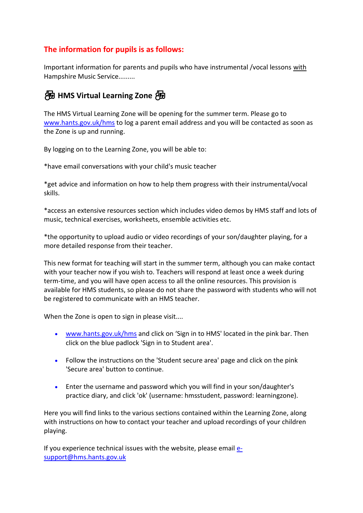## **The information for pupils is as follows:**

Important information for parents and pupils who have instrumental /vocal lessons with Hampshire Music Service.........



The HMS Virtual Learning Zone will be opening for the summer term. Please go to [www.hants.gov.uk/hms](http://www.hants.gov.uk/hms) to log a parent email address and you will be contacted as soon as the Zone is up and running.

By logging on to the Learning Zone, you will be able to:

\*have email conversations with your child's music teacher

\*get advice and information on how to help them progress with their instrumental/vocal skills.

\*access an extensive resources section which includes video demos by HMS staff and lots of music, technical exercises, worksheets, ensemble activities etc.

\*the opportunity to upload audio or video recordings of your son/daughter playing, for a more detailed response from their teacher.

This new format for teaching will start in the summer term, although you can make contact with your teacher now if you wish to. Teachers will respond at least once a week during term-time, and you will have open access to all the online resources. This provision is available for HMS students, so please do not share the password with students who will not be registered to communicate with an HMS teacher.

When the Zone is open to sign in please visit....

- [www.hants.gov.uk/hms](http://www.hants.gov.uk/hms) and click on 'Sign in to HMS' located in the pink bar. Then click on the blue padlock 'Sign in to Student area'.
- Follow the instructions on the 'Student secure area' page and click on the pink 'Secure area' button to continue.
- Enter the username and password which you will find in your son/daughter's practice diary, and click 'ok' (username: hmsstudent, password: learningzone).

Here you will find links to the various sections contained within the Learning Zone, along with instructions on how to contact your teacher and upload recordings of your children playing.

If you experience technical issues with the website, please email  $e$ [support@hms.hants.gov.uk](mailto:e-support@hms.hants.gov.uk)